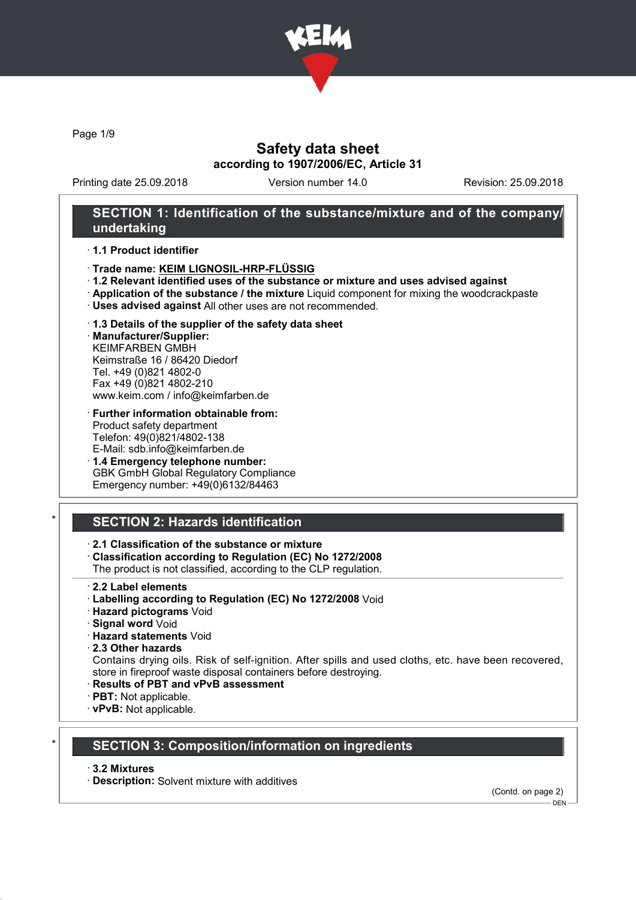

Page 1/9

# Safety data sheet according to 1907/2006/EC, Article 31

Printing date 25.09.2018 Version number 14.0 Revision: 25.09.2018

## SECTION 1: Identification of the substance/mixture and of the company/ undertaking

#### · 1.1 Product identifier

- · Trade name: KEIM LIGNOSIL-HRP-FLÜSSIG
- · 1.2 Relevant identified uses of the substance or mixture and uses advised against
- · Application of the substance / the mixture Liquid component for mixing the woodcrackpaste
- · Uses advised against All other uses are not recommended.

#### · 1.3 Details of the supplier of the safety data sheet

· Manufacturer/Supplier: KEIMFARBEN GMBH Keimstraße 16 / 86420 Diedorf Tel. +49 (0)821 4802-0 Fax +49 (0)821 4802-210 www.keim.com / info@keimfarben.de

- · Further information obtainable from: Product safety department Telefon: 49(0)821/4802-138 E-Mail: sdb.info@keimfarben.de
- · 1.4 Emergency telephone number: GBK GmbH Global Regulatory Compliance Emergency number: +49(0)6132/84463

# **SECTION 2: Hazards identification**

### · 2.1 Classification of the substance or mixture

· Classification according to Regulation (EC) No 1272/2008

The product is not classified, according to the CLP regulation.

- 2.2 Label elements
- · Labelling according to Regulation (EC) No 1272/2008 Void
- · Hazard pictograms Void
- · Signal word Void
- · Hazard statements Void
- · 2.3 Other hazards

Contains drying oils. Risk of self-ignition. After spills and used cloths, etc. have been recovered, store in fireproof waste disposal containers before destroying.

- · Results of PBT and vPvB assessment
- · PBT: Not applicable.
- · vPvB: Not applicable.

### **SECTION 3: Composition/information on ingredients**

#### · 3.2 Mixtures

· Description: Solvent mixture with additives

(Contd. on page 2)

DEN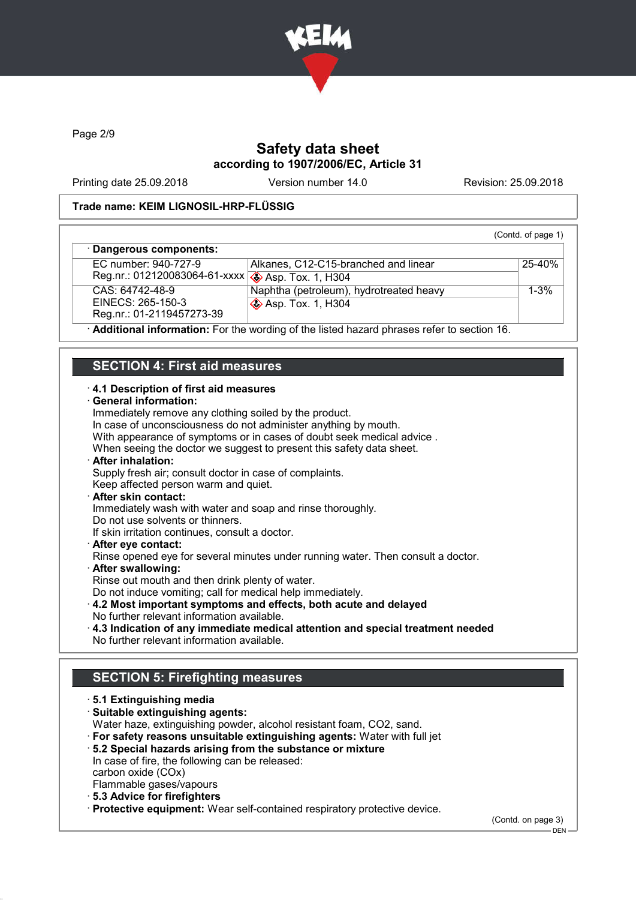

Page 2/9

# Safety data sheet according to 1907/2006/EC, Article 31

Printing date 25.09.2018 Version number 14.0 Revision: 25.09.2018

#### Trade name: KEIM LIGNOSIL-HRP-FLÜSSIG

|                                                   |                                         | (Contd. of page 1) |
|---------------------------------------------------|-----------------------------------------|--------------------|
| · Dangerous components:                           |                                         |                    |
| EC number: 940-727-9                              | Alkanes, C12-C15-branched and linear    | 25-40%             |
| Reg.nr.: 012120083064-61-xxxx 3 Asp. Tox. 1, H304 |                                         |                    |
| CAS: 64742-48-9                                   | Naphtha (petroleum), hydrotreated heavy | $1 - 3%$           |
| EINECS: 265-150-3                                 | <b>S</b> Asp. Tox. 1, H304              |                    |
| Reg.nr.: 01-2119457273-39                         |                                         |                    |

· Additional information: For the wording of the listed hazard phrases refer to section 16.

### SECTION 4: First aid measures

#### · 4.1 Description of first aid measures

#### · General information:

Immediately remove any clothing soiled by the product. In case of unconsciousness do not administer anything by mouth. With appearance of symptoms or in cases of doubt seek medical advice . When seeing the doctor we suggest to present this safety data sheet. After inhalation: Supply fresh air; consult doctor in case of complaints. Keep affected person warm and quiet. After skin contact: Immediately wash with water and soap and rinse thoroughly. Do not use solvents or thinners. If skin irritation continues, consult a doctor. · After eye contact: Rinse opened eye for several minutes under running water. Then consult a doctor. After swallowing: Rinse out mouth and then drink plenty of water. Do not induce vomiting; call for medical help immediately. · 4.2 Most important symptoms and effects, both acute and delayed

- No further relevant information available.
- · 4.3 Indication of any immediate medical attention and special treatment needed
- No further relevant information available.

# SECTION 5: Firefighting measures

- · 5.1 Extinguishing media · Suitable extinguishing agents: Water haze, extinguishing powder, alcohol resistant foam, CO2, sand. · For safety reasons unsuitable extinguishing agents: Water with full jet · 5.2 Special hazards arising from the substance or mixture
	- In case of fire, the following can be released: carbon oxide (COx) Flammable gases/vapours
	- · 5.3 Advice for firefighters
- · Protective equipment: Wear self-contained respiratory protective device.

(Contd. on page 3)

 $-$  DEN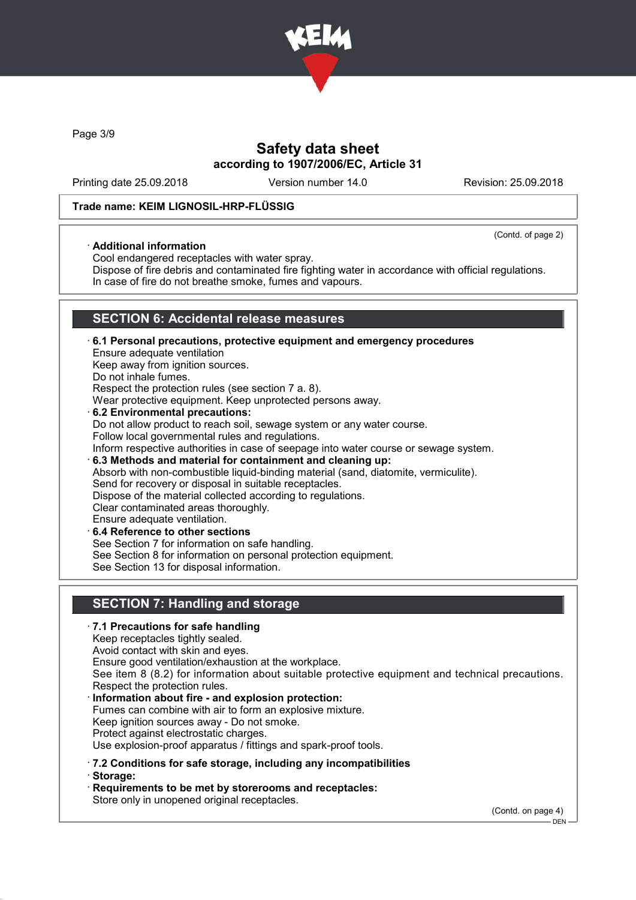

Page 3/9

# Safety data sheet according to 1907/2006/EC, Article 31

Printing date 25.09.2018 Version number 14.0 Revision: 25.09.2018

(Contd. of page 2)

### Trade name: KEIM LIGNOSIL-HRP-FLÜSSIG

#### · Additional information

Cool endangered receptacles with water spray.

Dispose of fire debris and contaminated fire fighting water in accordance with official regulations. In case of fire do not breathe smoke, fumes and vapours.

# SECTION 6: Accidental release measures

· 6.1 Personal precautions, protective equipment and emergency procedures Ensure adequate ventilation Keep away from ignition sources. Do not inhale fumes. Respect the protection rules (see section 7 a. 8). Wear protective equipment. Keep unprotected persons away. 6.2 Environmental precautions: Do not allow product to reach soil, sewage system or any water course. Follow local governmental rules and regulations. Inform respective authorities in case of seepage into water course or sewage system. · 6.3 Methods and material for containment and cleaning up: Absorb with non-combustible liquid-binding material (sand, diatomite, vermiculite). Send for recovery or disposal in suitable receptacles. Dispose of the material collected according to regulations. Clear contaminated areas thoroughly. Ensure adequate ventilation. 6.4 Reference to other sections See Section 7 for information on safe handling. See Section 8 for information on personal protection equipment. See Section 13 for disposal information.

# SECTION 7: Handling and storage

· 7.1 Precautions for safe handling Keep receptacles tightly sealed. Avoid contact with skin and eyes. Ensure good ventilation/exhaustion at the workplace. See item 8 (8.2) for information about suitable protective equipment and technical precautions. Respect the protection rules. Information about fire - and explosion protection: Fumes can combine with air to form an explosive mixture. Keep ignition sources away - Do not smoke. Protect against electrostatic charges. Use explosion-proof apparatus / fittings and spark-proof tools. · 7.2 Conditions for safe storage, including any incompatibilities · Storage: · Requirements to be met by storerooms and receptacles: Store only in unopened original receptacles.

(Contd. on page 4)

 $-$  DEN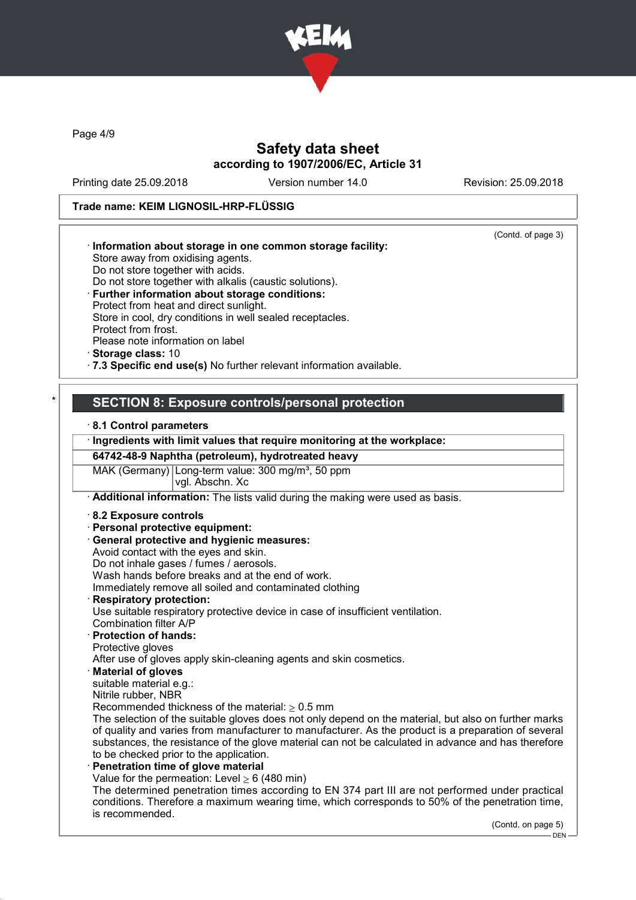

Page 4/9

# Safety data sheet according to 1907/2006/EC, Article 31

Printing date 25.09.2018 Version number 14.0 Revision: 25.09.2018

## Trade name: KEIM LIGNOSIL-HRP-FLÜSSIG

| (Contd. of page 3)                                                                                                                                                                                 |
|----------------------------------------------------------------------------------------------------------------------------------------------------------------------------------------------------|
| Information about storage in one common storage facility:                                                                                                                                          |
| Store away from oxidising agents.                                                                                                                                                                  |
| Do not store together with acids.                                                                                                                                                                  |
| Do not store together with alkalis (caustic solutions).                                                                                                                                            |
| · Further information about storage conditions:                                                                                                                                                    |
| Protect from heat and direct sunlight.                                                                                                                                                             |
| Store in cool, dry conditions in well sealed receptacles.<br>Protect from frost.                                                                                                                   |
| Please note information on label                                                                                                                                                                   |
| Storage class: 10                                                                                                                                                                                  |
| .7.3 Specific end use(s) No further relevant information available.                                                                                                                                |
|                                                                                                                                                                                                    |
| <b>SECTION 8: Exposure controls/personal protection</b>                                                                                                                                            |
| 8.1 Control parameters                                                                                                                                                                             |
| · Ingredients with limit values that require monitoring at the workplace:                                                                                                                          |
| 64742-48-9 Naphtha (petroleum), hydrotreated heavy                                                                                                                                                 |
| MAK (Germany) Long-term value: 300 mg/m <sup>3</sup> , 50 ppm<br>vgl. Abschn. Xc                                                                                                                   |
| Additional information: The lists valid during the making were used as basis.                                                                                                                      |
| 8.2 Exposure controls                                                                                                                                                                              |
| · Personal protective equipment:                                                                                                                                                                   |
| <b>General protective and hygienic measures:</b>                                                                                                                                                   |
| Avoid contact with the eyes and skin.                                                                                                                                                              |
| Do not inhale gases / fumes / aerosols.                                                                                                                                                            |
| Wash hands before breaks and at the end of work.                                                                                                                                                   |
| Immediately remove all soiled and contaminated clothing                                                                                                                                            |
| <b>Respiratory protection:</b>                                                                                                                                                                     |
| Use suitable respiratory protective device in case of insufficient ventilation.                                                                                                                    |
| Combination filter A/P                                                                                                                                                                             |
| · Protection of hands:                                                                                                                                                                             |
| Protective gloves<br>After use of gloves apply skin-cleaning agents and skin cosmetics.                                                                                                            |
| <b>Material of gloves</b>                                                                                                                                                                          |
| suitable material e.g.:                                                                                                                                                                            |
| Nitrile rubber, NBR                                                                                                                                                                                |
| Recommended thickness of the material: $\geq 0.5$ mm                                                                                                                                               |
| The selection of the suitable gloves does not only depend on the material, but also on further marks                                                                                               |
| of quality and varies from manufacturer to manufacturer. As the product is a preparation of several                                                                                                |
| substances, the resistance of the glove material can not be calculated in advance and has therefore                                                                                                |
| to be checked prior to the application.                                                                                                                                                            |
| Penetration time of glove material                                                                                                                                                                 |
| Value for the permeation: Level $\geq 6$ (480 min)                                                                                                                                                 |
| The determined penetration times according to EN 374 part III are not performed under practical<br>conditions. Therefore a maximum wearing time, which corresponds to 50% of the penetration time, |
| is recommended.<br>(Contd. on page 5)                                                                                                                                                              |

.<br>- DEN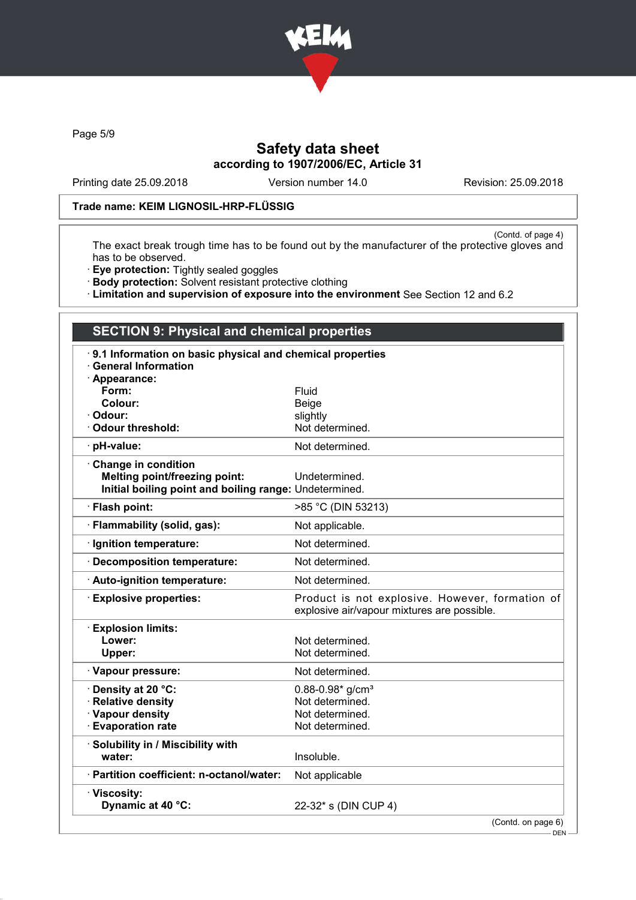

Page 5/9

# Safety data sheet according to 1907/2006/EC, Article 31

Printing date 25.09.2018 Version number 14.0 Revision: 25.09.2018

### Trade name: KEIM LIGNOSIL-HRP-FLÜSSIG

(Contd. of page 4) The exact break trough time has to be found out by the manufacturer of the protective gloves and has to be observed.

- · Eye protection: Tightly sealed goggles
- · Body protection: Solvent resistant protective clothing
- · Limitation and supervision of exposure into the environment See Section 12 and 6.2

| <b>SECTION 9: Physical and chemical properties</b>                                                                    |                                                                                                |  |  |
|-----------------------------------------------------------------------------------------------------------------------|------------------------------------------------------------------------------------------------|--|--|
| 9.1 Information on basic physical and chemical properties<br><b>General Information</b><br>· Appearance:              |                                                                                                |  |  |
| Form:                                                                                                                 | Fluid                                                                                          |  |  |
| Colour:                                                                                                               | Beige                                                                                          |  |  |
| · Odour:<br>· Odour threshold:                                                                                        | slightly<br>Not determined.                                                                    |  |  |
|                                                                                                                       |                                                                                                |  |  |
| · pH-value:                                                                                                           | Not determined.                                                                                |  |  |
| Change in condition<br><b>Melting point/freezing point:</b><br>Initial boiling point and boiling range: Undetermined. | Undetermined.                                                                                  |  |  |
| · Flash point:                                                                                                        | >85 °C (DIN 53213)                                                                             |  |  |
| · Flammability (solid, gas):                                                                                          | Not applicable.                                                                                |  |  |
| · Ignition temperature:                                                                                               | Not determined.                                                                                |  |  |
| · Decomposition temperature:                                                                                          | Not determined.                                                                                |  |  |
| · Auto-ignition temperature:                                                                                          | Not determined.                                                                                |  |  |
| <b>Explosive properties:</b>                                                                                          | Product is not explosive. However, formation of<br>explosive air/vapour mixtures are possible. |  |  |
| · Explosion limits:                                                                                                   |                                                                                                |  |  |
| Lower:                                                                                                                | Not determined.                                                                                |  |  |
| Upper:                                                                                                                | Not determined.                                                                                |  |  |
| · Vapour pressure:                                                                                                    | Not determined.                                                                                |  |  |
| <b>⋅Density at 20 °C:</b>                                                                                             | $0.88 - 0.98*$ g/cm <sup>3</sup>                                                               |  |  |
| · Relative density                                                                                                    | Not determined.                                                                                |  |  |
| · Vapour density                                                                                                      | Not determined.                                                                                |  |  |
| <b>Evaporation rate</b>                                                                                               | Not determined.                                                                                |  |  |
| · Solubility in / Miscibility with<br>water:                                                                          | Insoluble.                                                                                     |  |  |
| · Partition coefficient: n-octanol/water:                                                                             | Not applicable                                                                                 |  |  |
| · Viscosity:<br>Dynamic at 40 °C:                                                                                     | 22-32* s (DIN CUP 4)                                                                           |  |  |

(Contd. on page 6)

 $-$  DEN  $\cdot$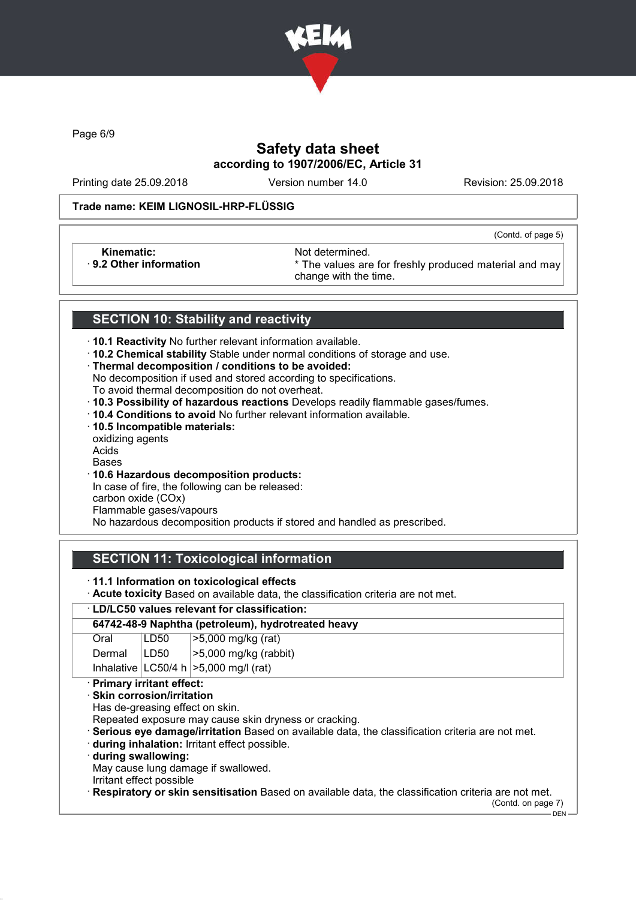

Page 6/9

# Safety data sheet according to 1907/2006/EC, Article 31

Printing date 25.09.2018 Version number 14.0 Revision: 25.09.2018

(Contd. of page 5)

#### Trade name: KEIM LIGNOSIL-HRP-FLÜSSIG

Kinematic: **Not determined.**<br>B.2 Other information **Accord 1998** The values are

\* The values are for freshly produced material and may change with the time.

## SECTION 10: Stability and reactivity

- · 10.1 Reactivity No further relevant information available.
- · 10.2 Chemical stability Stable under normal conditions of storage and use.
- · Thermal decomposition / conditions to be avoided:
- No decomposition if used and stored according to specifications.
- To avoid thermal decomposition do not overheat.
- · 10.3 Possibility of hazardous reactions Develops readily flammable gases/fumes.
- · 10.4 Conditions to avoid No further relevant information available.
- · 10.5 Incompatible materials:
- oxidizing agents Acids
- Bases
- · 10.6 Hazardous decomposition products:

In case of fire, the following can be released: carbon oxide (COx)

Flammable gases/vapours

No hazardous decomposition products if stored and handled as prescribed.

# SECTION 11: Toxicological information

#### · 11.1 Information on toxicological effects

· Acute toxicity Based on available data, the classification criteria are not met.

#### · LD/LC50 values relevant for classification:

| 64742-48-9 Naphtha (petroleum), hydrotreated heavy |                                                                                                     |                                            |  |  |
|----------------------------------------------------|-----------------------------------------------------------------------------------------------------|--------------------------------------------|--|--|
| Oral                                               | LD50                                                                                                | >5,000 mg/kg (rat)                         |  |  |
| Dermal                                             | LD50                                                                                                | $>5,000$ mg/kg (rabbit)                    |  |  |
|                                                    |                                                                                                     | Inhalative $ LG50/4 h  > 5,000 mg/l$ (rat) |  |  |
|                                                    | · Primary irritant effect:                                                                          |                                            |  |  |
| $\cdot$ Skin corrosion/irritation                  |                                                                                                     |                                            |  |  |
| Has de-greasing effect on skin.                    |                                                                                                     |                                            |  |  |
|                                                    | Repeated exposure may cause skin dryness or cracking.                                               |                                            |  |  |
|                                                    | · Serious eye damage/irritation Based on available data, the classification criteria are not met.   |                                            |  |  |
|                                                    | during inhalation: Irritant effect possible.                                                        |                                            |  |  |
|                                                    | during swallowing:                                                                                  |                                            |  |  |
| May cause lung damage if swallowed.                |                                                                                                     |                                            |  |  |
| Irritant effect possible                           |                                                                                                     |                                            |  |  |
|                                                    | Respiratory or skin sensitisation Based on available data, the classification criteria are not met. |                                            |  |  |
|                                                    |                                                                                                     | (Contd. on page 7)                         |  |  |

DEN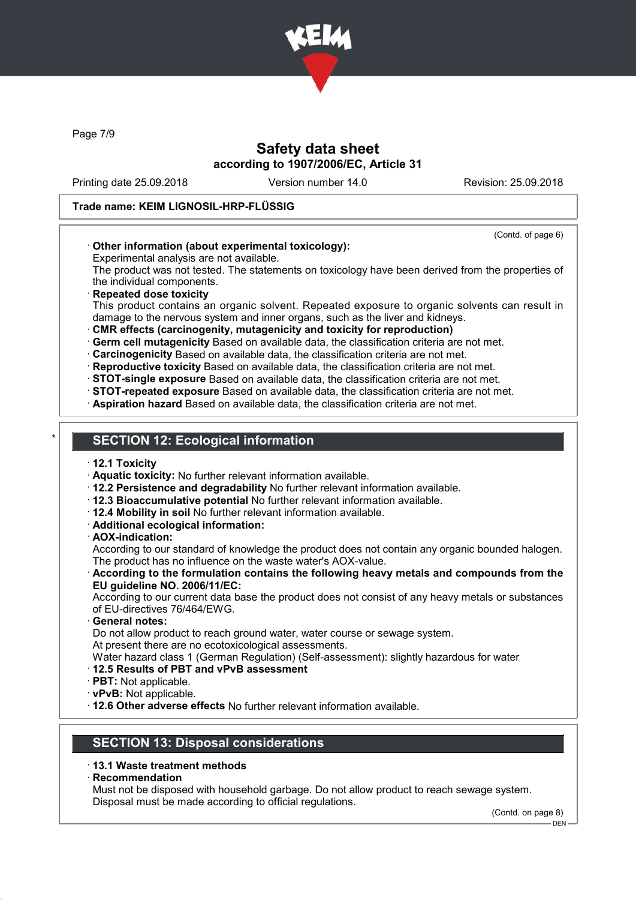

Page 7/9

# Safety data sheet according to 1907/2006/EC, Article 31

Printing date 25.09.2018 Version number 14.0 Revision: 25.09.2018

### Trade name: KEIM LIGNOSIL-HRP-FLÜSSIG

(Contd. of page 6)

### · Other information (about experimental toxicology):

Experimental analysis are not available.

The product was not tested. The statements on toxicology have been derived from the properties of the individual components.

#### **Repeated dose toxicity**

This product contains an organic solvent. Repeated exposure to organic solvents can result in damage to the nervous system and inner organs, such as the liver and kidneys.

· CMR effects (carcinogenity, mutagenicity and toxicity for reproduction)

· Germ cell mutagenicity Based on available data, the classification criteria are not met.

· Carcinogenicity Based on available data, the classification criteria are not met.

· Reproductive toxicity Based on available data, the classification criteria are not met.

· STOT-single exposure Based on available data, the classification criteria are not met.

- · STOT-repeated exposure Based on available data, the classification criteria are not met.
- · Aspiration hazard Based on available data, the classification criteria are not met.

### **SECTION 12: Ecological information**

· 12.1 Toxicity

· Aquatic toxicity: No further relevant information available.

- · 12.2 Persistence and degradability No further relevant information available.
- · 12.3 Bioaccumulative potential No further relevant information available.
- · 12.4 Mobility in soil No further relevant information available.
- · Additional ecological information:
- · AOX-indication:

According to our standard of knowledge the product does not contain any organic bounded halogen. The product has no influence on the waste water's AOX-value.

#### · According to the formulation contains the following heavy metals and compounds from the EU guideline NO. 2006/11/EC:

According to our current data base the product does not consist of any heavy metals or substances of EU-directives 76/464/EWG.

General notes:

Do not allow product to reach ground water, water course or sewage system. At present there are no ecotoxicological assessments.

Water hazard class 1 (German Regulation) (Self-assessment): slightly hazardous for water

#### · 12.5 Results of PBT and vPvB assessment

- · PBT: Not applicable.
- · vPvB: Not applicable.
- · 12.6 Other adverse effects No further relevant information available.

# SECTION 13: Disposal considerations

### · 13.1 Waste treatment methods

· Recommendation

Must not be disposed with household garbage. Do not allow product to reach sewage system. Disposal must be made according to official regulations.

(Contd. on page 8)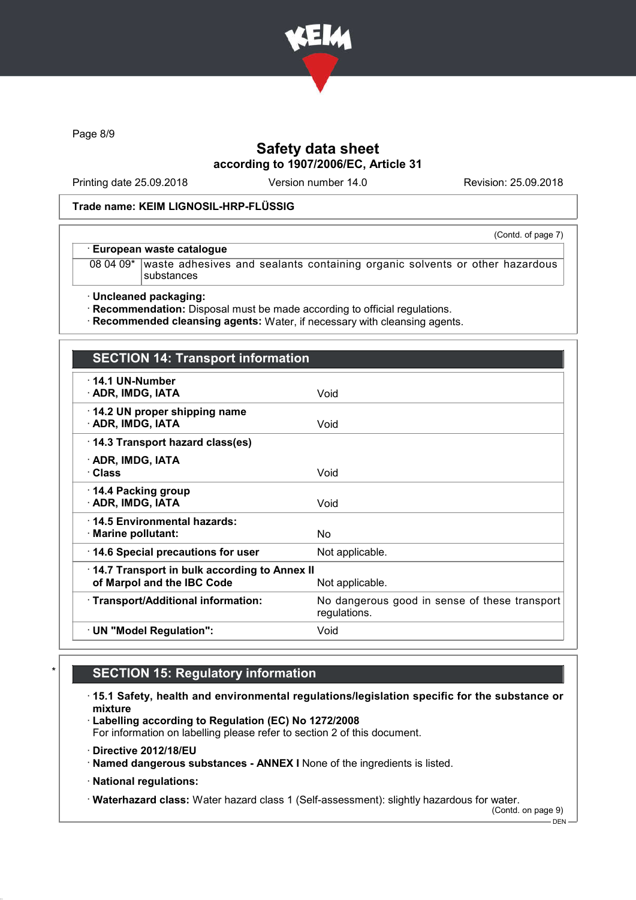

Page 8/9

# Safety data sheet according to 1907/2006/EC, Article 31

Printing date 25.09.2018 Version number 14.0 Revision: 25.09.2018

(Contd. of page 7)

### Trade name: KEIM LIGNOSIL-HRP-FLÜSSIG

#### · European waste catalogue

08 04 09\* waste adhesives and sealants containing organic solvents or other hazardous substances

· Uncleaned packaging:

· Recommendation: Disposal must be made according to official regulations.

· Recommended cleansing agents: Water, if necessary with cleansing agents.

| <b>SECTION 14: Transport information</b>                                                      |                                                               |  |
|-----------------------------------------------------------------------------------------------|---------------------------------------------------------------|--|
| $\cdot$ 14.1 UN-Number<br>· ADR, IMDG, IATA                                                   | Void                                                          |  |
| 14.2 UN proper shipping name<br>· ADR, IMDG, IATA                                             | Void                                                          |  |
| 14.3 Transport hazard class(es)                                                               |                                                               |  |
| · ADR, IMDG, IATA<br>· Class                                                                  | Void                                                          |  |
| 14.4 Packing group<br>· ADR, IMDG, IATA                                                       | Void                                                          |  |
| ⋅14.5 Environmental hazards:<br>· Marine pollutant:                                           | No.                                                           |  |
| 14.6 Special precautions for user                                                             | Not applicable.                                               |  |
| 14.7 Transport in bulk according to Annex II<br>of Marpol and the IBC Code<br>Not applicable. |                                                               |  |
| · Transport/Additional information:                                                           | No dangerous good in sense of these transport<br>regulations. |  |
| $\cdot$ UN "Model Regulation":                                                                | Void                                                          |  |

# **SECTION 15: Regulatory information**

· 15.1 Safety, health and environmental regulations/legislation specific for the substance or mixture

· Labelling according to Regulation (EC) No 1272/2008

For information on labelling please refer to section 2 of this document.

- · Directive 2012/18/EU
- · Named dangerous substances ANNEX I None of the ingredients is listed.
- · National regulations:

· Waterhazard class: Water hazard class 1 (Self-assessment): slightly hazardous for water.

(Contd. on page 9)  $-$  DEN -